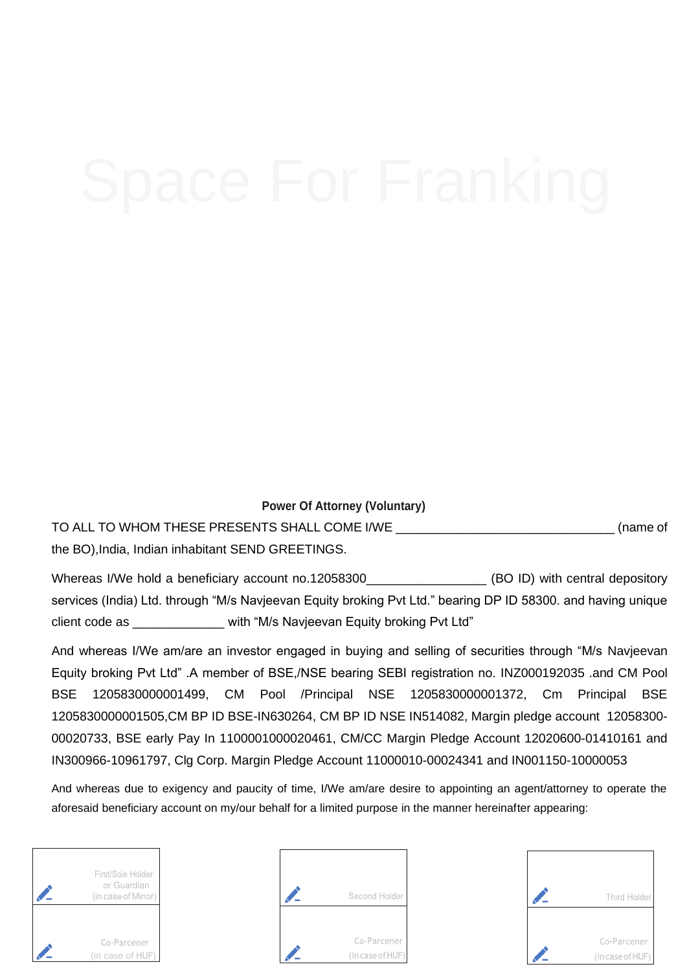**Power Of Attorney (Voluntary)**

TO ALL TO WHOM THESE PRESENTS SHALL COME I/WE \_\_\_\_\_\_\_\_\_\_\_\_\_\_\_\_\_\_\_\_\_\_\_\_\_\_\_\_\_\_\_ (name of the BO),India, Indian inhabitant SEND GREETINGS.

Whereas I/We hold a beneficiary account no.12058300 (BO ID) with central depository services (India) Ltd. through "M/s Navjeevan Equity broking Pvt Ltd." bearing DP ID 58300. and having unique client code as \_\_\_\_\_\_\_\_\_\_\_\_\_ with "M/s Navjeevan Equity broking Pvt Ltd"

And whereas I/We am/are an investor engaged in buying and selling of securities through "M/s Navjeevan Equity broking Pvt Ltd" .A member of BSE,/NSE bearing SEBI registration no. INZ000192035 .and CM Pool BSE 1205830000001499, CM Pool /Principal NSE 1205830000001372, Cm Principal BSE 1205830000001505,CM BP ID BSE-IN630264, CM BP ID NSE IN514082, Margin pledge account 12058300- 00020733, BSE early Pay In 1100001000020461, CM/CC Margin Pledge Account 12020600-01410161 and IN300966-10961797, Clg Corp. Margin Pledge Account 11000010-00024341 and IN001150-10000053

And whereas due to exigency and paucity of time, I/We am/are desire to appointing an agent/attorney to operate the aforesaid beneficiary account on my/our behalf for a limited purpose in the manner hereinafter appearing:

| First/Sole Holder<br>or Guardian<br>(in case of Minor) |
|--------------------------------------------------------|
| Co-Parcener<br>(in case of HUF)                        |